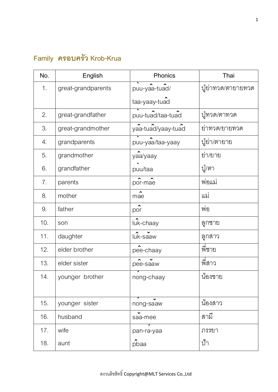## **Family ครอบครัว Krob-Krua**

| No.             | English            | Phonics            | Thai               |
|-----------------|--------------------|--------------------|--------------------|
| 1 <sub>1</sub>  | great-grandparents | puu-yaa-tuad/      | ปู่ย่าทวด/ตายายทวด |
|                 |                    | taa-yaay-tuad      |                    |
| 2.              | great-grandfather  | puu-tuad/taa-tuad  | ปูทวด/ตาทวด        |
| 3.              | great-grandmother  | yaa-tuad/yaay-tuad | ยาทวด/ยายทวด       |
| 4.              | grandparents       | puu-yaa/taa-yaay   | ปู่ย่า/ตายาย       |
| 5.              | grandmother        | yaa/yaay           | ยา/ยาย             |
| 6.              | grandfather        | puu/taa            | ปู/ตา              |
| 7.              | parents            | por-mae            | พอแม               |
| 8.              | mother             | mae                | แม่                |
| 9.              | father             | por                | พ่อ                |
| 10.             | son                | luk-chaay          | ลูกชาย             |
| 11 <sub>1</sub> | daughter           | luk-saaw           | ลูกสาว             |
| 12.             | elder brother      | pee-chaay          | พีชาย              |
| 13.             | elder sister       | pee-saaw           | พี่สาว             |
| 14.             | younger brother    | nong-chaay         | น้องชาย            |
|                 |                    |                    |                    |
| 15.             | younger sister     | nong-saaw          | น้องสาว            |
| 16.             | husband            | saa-mee            | สามี               |
| 17 <sub>1</sub> | wife               | pan-ra-yaa         | ภรรยา              |
| 18.             | aunt               | pbaa               | ป้ำ                |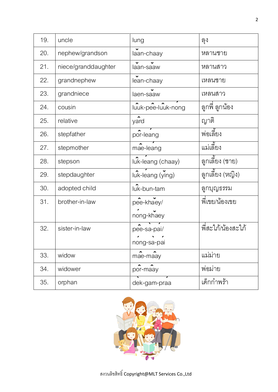| 19. | uncle               | lung                       | ลูง               |
|-----|---------------------|----------------------------|-------------------|
| 20. | nephew/grandson     | laan-chaay                 | หลานชาย           |
| 21. | niece/granddaughter | laan-saaw                  | หลานสาว           |
| 22. | grandnephew         | lean-chaay                 | เหลนชาย           |
| 23. | grandniece          | laen-saaw                  | เหลนสาว           |
| 24. | cousin              | luuk-pee-luuk-nong         | ลูกพี่ ลูกน้อง    |
| 25. | relative            | yard                       | ญาติ              |
| 26. | stepfather          | por-leang                  | พ่อเลี้ยง         |
| 27. | stepmother          | mae-leang                  | แมเลี้ยง          |
| 28. | stepson             | luk-leang (chaay)          | ลูกเลี้ยง (ชาย)   |
| 29. | stepdaughter        | luk-leang (ying)           | ลูกเลี้ยง (หญิง)  |
| 30. | adopted child       | luk-bun-tam                | ลูกบุญธรรม        |
| 31. | brother-in-law      | pee-khaey/<br>nong-khaey   | พี่เขย/น้องเขย    |
| 32. | sister-in-law       | pee-sa-pai/<br>nong-sa-pai | พีสะใภ้/น้องสะใภ้ |
| 33. | widow               | mae-maay                   | แม่ม่าย           |
| 34. | widower             | พ่อมาย<br>por-maay         |                   |
| 35. | orphan              | เด็กกำพร้า<br>dek-gam-praa |                   |

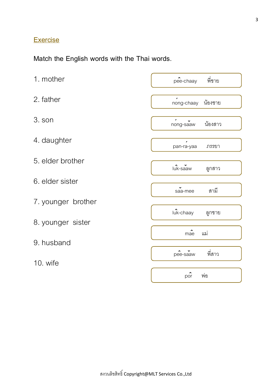## **Exercise**

**Match the English words with the Thai words**.

| 1. mother          | พี่ชาย<br>pee-chaay               |  |  |
|--------------------|-----------------------------------|--|--|
| 2. father          | น้องชาย<br>nong-chaay             |  |  |
| 3. son             | น้องสาว<br>nong-saaw              |  |  |
| 4. daughter        | pan-ra-yaa<br>ภรรยา               |  |  |
| 5. elder brother   | luk-saaw<br>ลูกสาว                |  |  |
| 6. elder sister    | สามี<br>saa-mee                   |  |  |
| 7. younger brother |                                   |  |  |
| 8. younger sister  | luk-chaay<br>ลูกชาย               |  |  |
| 9. husband         | $\hat{\phantom{a}}$<br>แม่<br>mae |  |  |
| 10. wife           | พี่สาว<br>pee-saaw                |  |  |
|                    | por<br>พ่อ                        |  |  |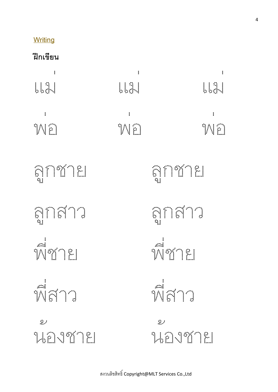## **Writing**

**ฝึ กเขียน**

| $\vdots$<br>1.1.3.1                   | $\colon$<br><b>LL</b> \$ | $\colon$<br><b>LLA</b>                      |
|---------------------------------------|--------------------------|---------------------------------------------|
| $\ddot{\cdot}$<br>SHOW                | $\colon$<br><b>SHIPH</b> | $\vdots$<br><b>SALES</b>                    |
| <b>SELLA</b>                          |                          | ลูกชาย                                      |
| <b>ANSUS</b>                          |                          | anana                                       |
| <b>Michael</b>                        |                          | MYTEL                                       |
| พี่สาว                                |                          | พี่สาว                                      |
| $\mathcal{L}^{\mathcal{L}}$<br>นองชาย |                          | $\mathcal{L}^{\mathcal{A}}$<br>1. JA 2007 M |